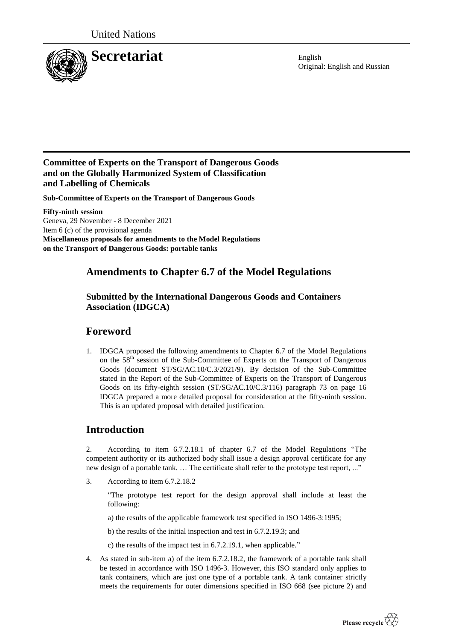

Original: English and Russian

### **Committee of Experts on the Transport of Dangerous Goods and on the Globally Harmonized System of Classification and Labelling of Chemicals**

**Sub-Committee of Experts on the Transport of Dangerous Goods**

**Fifty-ninth session** Geneva, 29 November - 8 December 2021 Item 6 (c) of the provisional agenda **Miscellaneous proposals for amendments to the Model Regulations on the Transport of Dangerous Goods: portable tanks**

# **Amendments to Chapter 6.7 of the Model Regulations**

#### **Submitted by the International Dangerous Goods and Containers Association (IDGCA)**

# **Foreword**

1. IDGCA proposed the following amendments to Chapter 6.7 of the Model Regulations on the 58<sup>th</sup> session of the Sub-Committee of Experts on the Transport of Dangerous Goods (document ST/SG/AC.10/C.3/2021/9). By decision of the Sub-Committee stated in the Report of the Sub-Committee of Experts on the Transport of Dangerous Goods on its fifty-eighth session (ST/SG/AC.10/C.3/116) paragraph 73 on page 16 IDGCA prepared a more detailed proposal for consideration at the fifty-ninth session. This is an updated proposal with detailed justification.

# **Introduction**

2. According to item 6.7.2.18.1 of chapter 6.7 of the Model Regulations "The competent authority or its authorized body shall issue a design approval certificate for any new design of a portable tank. … The certificate shall refer to the prototype test report, ..."

3. According to item 6.7.2.18.2

"The prototype test report for the design approval shall include at least the following:

a) the results of the applicable framework test specified in ISO 1496-3:1995;

b) the results of the initial inspection and test in 6.7.2.19.3; and

c) the results of the impact test in 6.7.2.19.1, when applicable."

4. As stated in sub-item a) of the item 6.7.2.18.2, the framework of a portable tank shall be tested in accordance with ISO 1496-3. However, this ISO standard only applies to tank containers, which are just one type of a portable tank. A tank container strictly meets the requirements for outer dimensions specified in ISO 668 (see picture 2) and

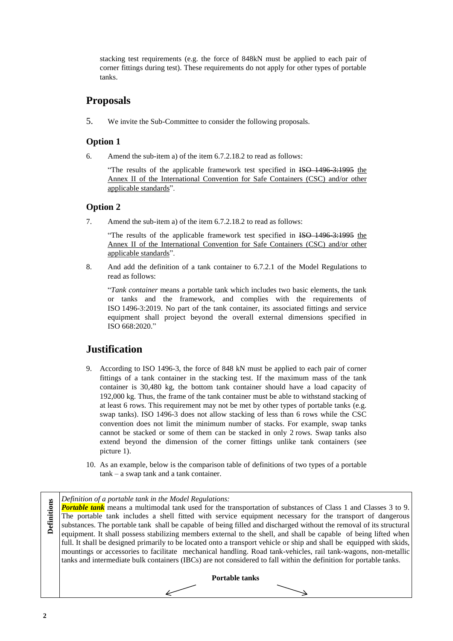stacking test requirements (e.g. the force of 848kN must be applied to each pair of corner fittings during test). These requirements do not apply for other types of portable tanks.

### **Proposals**

5. We invite the Sub-Committee to consider the following proposals.

#### **Option 1**

6. Amend the sub-item a) of the item 6.7.2.18.2 to read as follows:

"The results of the applicable framework test specified in ISO 1496 3:1995 the Annex II of the International Convention for Safe Containers (CSC) and/or other applicable standards".

#### **Option 2**

7. Amend the sub-item a) of the item 6.7.2.18.2 to read as follows:

"The results of the applicable framework test specified in ISO 1496-3:1995 the Annex II of the International Convention for Safe Containers (CSC) and/or other applicable standards".

8. And add the definition of a tank container to 6.7.2.1 of the Model Regulations to read as follows:

"*Tank container* means a portable tank which includes two basic elements, the tank or tanks and the framework, and complies with the requirements of ISO 1496-3:2019. No part of the tank container, its associated fittings and service equipment shall project beyond the overall external dimensions specified in ISO 668:2020."

### **Justification**

- 9. According to ISO 1496-3, the force of 848 kN must be applied to each pair of corner fittings of a tank container in the stacking test. If the maximum mass of the tank container is 30,480 kg, the bottom tank container should have a load capacity of 192,000 kg. Thus, the frame of the tank container must be able to withstand stacking of at least 6 rows. This requirement may not be met by other types of portable tanks (e.g. swap tanks). ISO 1496-3 does not allow stacking of less than 6 rows while the CSC convention does not limit the minimum number of stacks. For example, swap tanks cannot be stacked or some of them can be stacked in only 2 rows. Swap tanks also extend beyond the dimension of the corner fittings unlike tank containers (see picture 1).
- 10. As an example, below is the comparison table of definitions of two types of a portable tank – a swap tank and a tank container.

*Definition of a portable tank in the Model Regulations:*

**Portable tank** means a multimodal tank used for the transportation of substances of Class 1 and Classes 3 to 9. The portable tank includes a shell fitted with service equipment necessary for the transport of dangerous substances. The portable tank shall be capable of being filled and discharged without the removal of its structural equipment. It shall possess stabilizing members external to the shell, and shall be capable of being lifted when full. It shall be designed primarily to be located onto a transport vehicle or ship and shall be equipped with skids, mountings or accessories to facilitate mechanical handling. Road tank-vehicles, rail tank-wagons, non-metallic tanks and intermediate bulk containers (IBCs) are not considered to fall within the definition for portable tanks.

**Portable tanks**

**Definitions**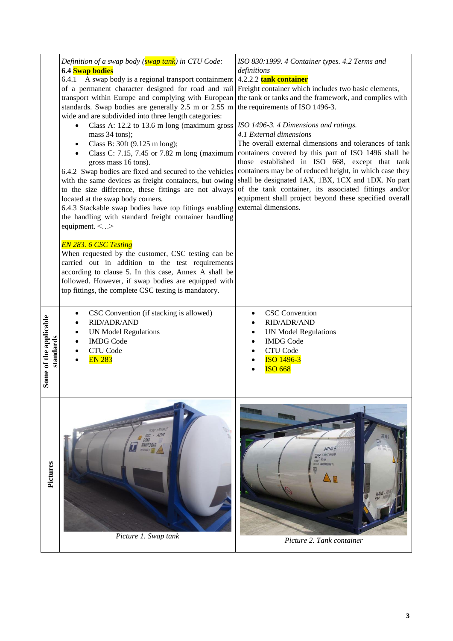|                                     | Definition of a swap body (swap tank) in CTU Code:<br>6.4 Swap bodies<br>6.4.1 A swap body is a regional transport containment 4.2.2.2 tank container<br>of a permanent character designed for road and rail Freight container which includes two basic elements,<br>transport within Europe and complying with European<br>standards. Swap bodies are generally $2.5$ m or $2.55$ m<br>wide and are subdivided into three length categories:<br>Class A: 12.2 to 13.6 m long (maximum gross   ISO 1496-3. 4 Dimensions and ratings.<br>mass 34 tons);<br>Class B: 30ft (9.125 m long);<br>$\bullet$<br>Class C: 7.15, 7.45 or 7.82 m long (maximum)<br>$\bullet$<br>gross mass 16 tons).<br>6.4.2 Swap bodies are fixed and secured to the vehicles<br>with the same devices as freight containers, but owing | ISO 830:1999. 4 Container types. 4.2 Terms and<br>definitions<br>the tank or tanks and the framework, and complies with<br>the requirements of ISO 1496-3.<br>4.1 External dimensions<br>The overall external dimensions and tolerances of tank<br>containers covered by this part of ISO 1496 shall be<br>those established in ISO 668, except that tank<br>containers may be of reduced height, in which case they<br>shall be designated 1AX, 1BX, 1CX and 1DX. No part |  |  |  |  |
|-------------------------------------|----------------------------------------------------------------------------------------------------------------------------------------------------------------------------------------------------------------------------------------------------------------------------------------------------------------------------------------------------------------------------------------------------------------------------------------------------------------------------------------------------------------------------------------------------------------------------------------------------------------------------------------------------------------------------------------------------------------------------------------------------------------------------------------------------------------|----------------------------------------------------------------------------------------------------------------------------------------------------------------------------------------------------------------------------------------------------------------------------------------------------------------------------------------------------------------------------------------------------------------------------------------------------------------------------|--|--|--|--|
|                                     | to the size difference, these fittings are not always<br>located at the swap body corners.<br>6.4.3 Stackable swap bodies have top fittings enabling<br>the handling with standard freight container handling<br>equipment. <><br><b>EN 283. 6 CSC Testing</b><br>When requested by the customer, CSC testing can be<br>carried out in addition to the test requirements<br>according to clause 5. In this case, Annex A shall be<br>followed. However, if swap bodies are equipped with<br>top fittings, the complete CSC testing is mandatory.                                                                                                                                                                                                                                                               | of the tank container, its associated fittings and/or<br>equipment shall project beyond these specified overall<br>external dimensions.                                                                                                                                                                                                                                                                                                                                    |  |  |  |  |
| Some of the applicable<br>standards | CSC Convention (if stacking is allowed)<br>٠<br>RID/ADR/AND<br>٠<br><b>UN Model Regulations</b><br>$\bullet$<br><b>IMDG</b> Code<br>$\bullet$<br>CTU Code<br>٠<br><b>EN 283</b>                                                                                                                                                                                                                                                                                                                                                                                                                                                                                                                                                                                                                                | <b>CSC</b> Convention<br>$\bullet$<br>RID/ADR/AND<br>٠<br><b>UN Model Regulations</b><br>٠<br><b>IMDG</b> Code<br>$\bullet$<br>CTU Code<br><b>ISO 1496-3</b><br><b>ISO 668</b>                                                                                                                                                                                                                                                                                             |  |  |  |  |
| Pictures                            | 1001 1001242<br>RID - ADR<br>Picture 1. Swap tank                                                                                                                                                                                                                                                                                                                                                                                                                                                                                                                                                                                                                                                                                                                                                              | me<br>240140 5<br>ICAMACT APPROVE<br>22T6<br>節期<br>ZA CENA<br>EDIFIERE UN PORTABLE TAIN TYT<br>ijc]<br>Picture 2. Tank container                                                                                                                                                                                                                                                                                                                                           |  |  |  |  |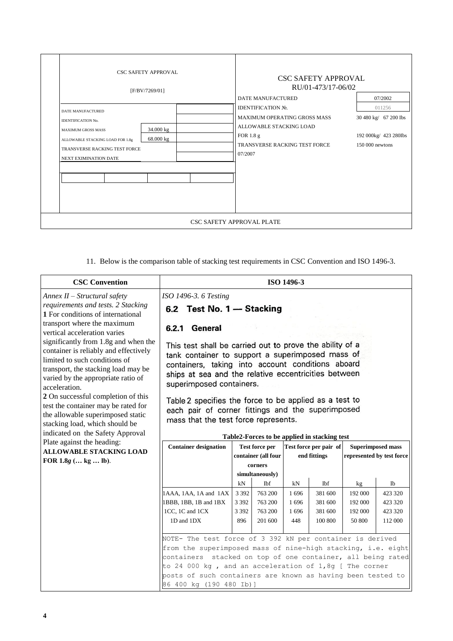| <b>CSC SAFETY APPROVAL</b><br>[F/BV/7269/01]                                                                                                                                                        | <b>CSC SAFETY APPROVAL</b><br>RU/01-473/17-06/02<br><b>DATE MANUFACTURED</b><br>07/2002                                                                                                                                       |  |  |  |  |  |  |  |
|-----------------------------------------------------------------------------------------------------------------------------------------------------------------------------------------------------|-------------------------------------------------------------------------------------------------------------------------------------------------------------------------------------------------------------------------------|--|--|--|--|--|--|--|
| DATE MANUFACTURED<br>IDENTIFICATION No.<br>34.000 kg<br><b>MAXIMUM GROSS MASS</b><br>68.000 kg<br>ALLOWABLE STACKING LOAD FOR 1.8g<br>TRANSVERSE RACKING TEST FORCE<br><b>NEXT EXIMINATION DATE</b> | <b>IDENTIFICATION No.</b><br>011256<br>MAXIMUM OPERATING GROSS MASS<br>30 480 kg/ 67 200 lbs<br>ALLOWABLE STACKING LOAD<br>FOR 1.8 g<br>192 000kg/ 423 280Ibs<br>TRANSVERSE RACKING TEST FORCE<br>$150000$ newtons<br>07/2007 |  |  |  |  |  |  |  |
| CSC SAFETY APPROVAL PLATE                                                                                                                                                                           |                                                                                                                                                                                                                               |  |  |  |  |  |  |  |

11. Below is the comparison table of stacking test requirements in CSC Convention and ISO 1496-3.

| <b>CSC Convention</b>                                                                                                                                                                                                                                                                                                                                                                                                                                                                                                                      | ISO 1496-3                                                                                                                                                                                                                                                                                                                                                                                                                                                                          |                                              |                                                                                                                                                                      |                                   |                                                       |                                               |                                                |  |
|--------------------------------------------------------------------------------------------------------------------------------------------------------------------------------------------------------------------------------------------------------------------------------------------------------------------------------------------------------------------------------------------------------------------------------------------------------------------------------------------------------------------------------------------|-------------------------------------------------------------------------------------------------------------------------------------------------------------------------------------------------------------------------------------------------------------------------------------------------------------------------------------------------------------------------------------------------------------------------------------------------------------------------------------|----------------------------------------------|----------------------------------------------------------------------------------------------------------------------------------------------------------------------|-----------------------------------|-------------------------------------------------------|-----------------------------------------------|------------------------------------------------|--|
| $Annex II-Structural safety$<br>requirements and tests. 2 Stacking<br>1 For conditions of international<br>transport where the maximum<br>vertical acceleration varies<br>significantly from 1.8g and when the<br>container is reliably and effectively<br>limited to such conditions of<br>transport, the stacking load may be<br>varied by the appropriate ratio of<br>acceleration.<br>2 On successful completion of this<br>test the container may be rated for<br>the allowable superimposed static<br>stacking load, which should be | ISO 1496-3. 6 Testing<br>6.2 Test No. 1 - Stacking<br>6.2.1 General<br>This test shall be carried out to prove the ability of a<br>tank container to support a superimposed mass of<br>containers, taking into account conditions aboard<br>ships at sea and the relative eccentricities between<br>superimposed containers.<br>Table 2 specifies the force to be applied as a test to<br>each pair of corner fittings and the superimposed<br>mass that the test force represents. |                                              |                                                                                                                                                                      |                                   |                                                       |                                               |                                                |  |
| indicated on the Safety Approval<br>Plate against the heading:<br><b>ALLOWABLE STACKING LOAD</b><br>FOR $1.8g$ ( kg  lb).                                                                                                                                                                                                                                                                                                                                                                                                                  | <b>Container designation</b>                                                                                                                                                                                                                                                                                                                                                                                                                                                        |                                              | Table2-Forces to be applied in stacking test<br>Test force per pair of<br><b>Test force per</b><br>container (all four<br>end fittings<br>corners<br>simultaneously) |                                   | <b>Superimposed mass</b><br>represented by test force |                                               |                                                |  |
|                                                                                                                                                                                                                                                                                                                                                                                                                                                                                                                                            | 1AAA, 1AA, 1A and 1AX<br>1BBB, 1BB, 1B and 1BX<br>1CC, 1C and 1CX<br>1D and 1DX<br>NOTE- The test force of 3 392 kN per container is derived<br>from the superimposed mass of nine-high stacking, i.e. eight<br>containers stacked on top of one container, all being rated<br>to 24 000 kg, and an acceleration of 1,8g [ The corner<br>posts of such containers are known as having been tested to<br>86 400 kg (190 480 Ib)]                                                     | $kN$<br>3 3 9 2<br>3 3 9 2<br>3 3 9 2<br>896 | Ibf<br>763 200<br>763 200<br>763 200<br>201 600                                                                                                                      | kN<br>1696<br>1696<br>1696<br>448 | Ibf<br>381 600<br>381 600<br>381 600<br>100 800       | kg<br>192 000<br>192 000<br>192 000<br>50 800 | Ib<br>423 320<br>423 320<br>423 320<br>112 000 |  |